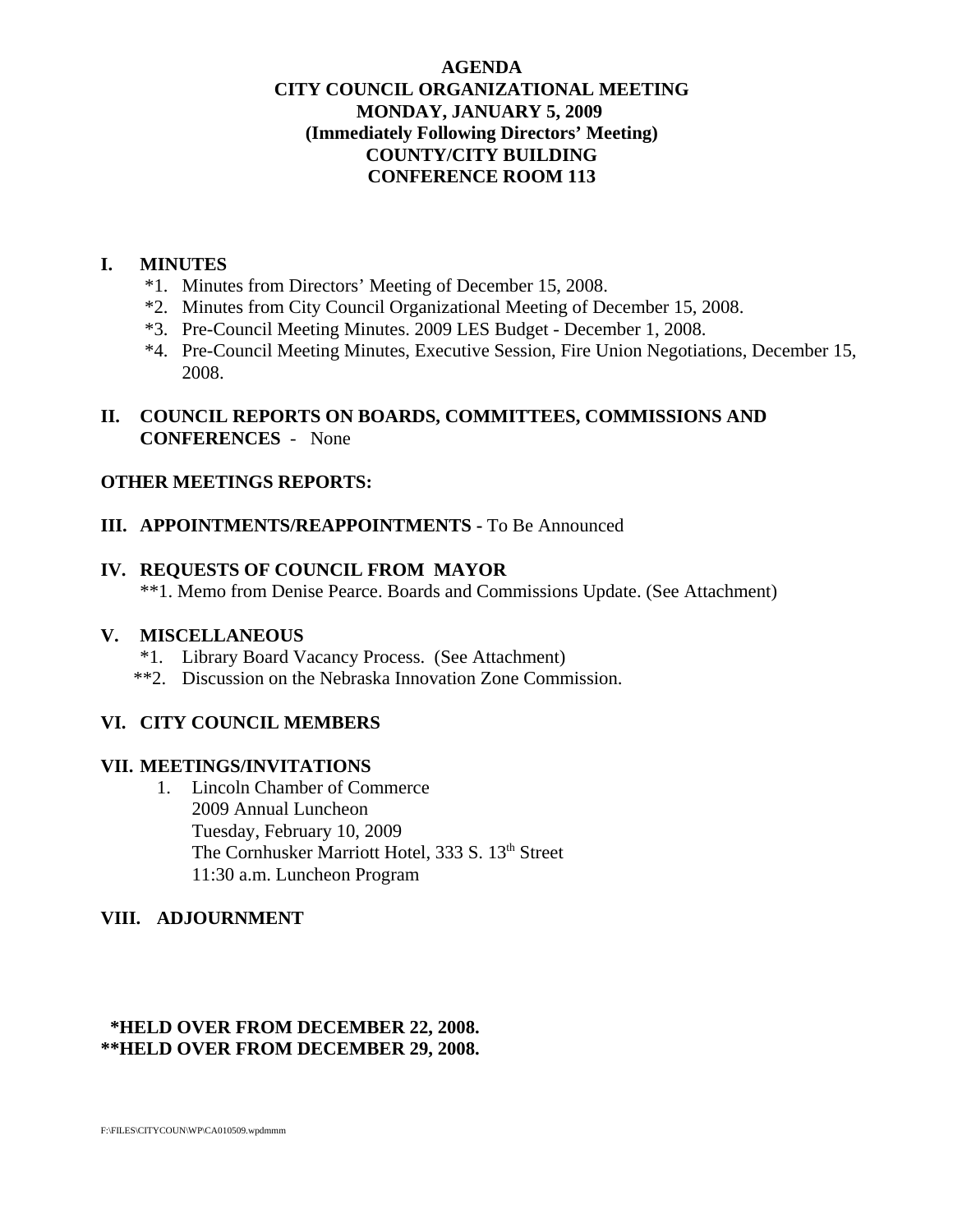## **AGENDA CITY COUNCIL ORGANIZATIONAL MEETING MONDAY, JANUARY 5, 2009 (Immediately Following Directors' Meeting) COUNTY/CITY BUILDING CONFERENCE ROOM 113**

## **I. MINUTES**

- \*1. Minutes from Directors' Meeting of December 15, 2008.
- \*2. Minutes from City Council Organizational Meeting of December 15, 2008.
- \*3. Pre-Council Meeting Minutes. 2009 LES Budget December 1, 2008.
- \*4. Pre-Council Meeting Minutes, Executive Session, Fire Union Negotiations, December 15, 2008.

# **II. COUNCIL REPORTS ON BOARDS, COMMITTEES, COMMISSIONS AND CONFERENCES** - None

# **OTHER MEETINGS REPORTS:**

## **III. APPOINTMENTS/REAPPOINTMENTS - To Be Announced**

## **IV. REQUESTS OF COUNCIL FROM MAYOR**

\*\*1. Memo from Denise Pearce. Boards and Commissions Update. (See Attachment)

## **V. MISCELLANEOUS**

- \*1. Library Board Vacancy Process. (See Attachment)
- \*\*2. Discussion on the Nebraska Innovation Zone Commission.

# **VI. CITY COUNCIL MEMBERS**

## **VII. MEETINGS/INVITATIONS**

1. Lincoln Chamber of Commerce 2009 Annual Luncheon Tuesday, February 10, 2009 The Cornhusker Marriott Hotel, 333 S. 13th Street 11:30 a.m. Luncheon Program

# **VIII. ADJOURNMENT**

# **\*HELD OVER FROM DECEMBER 22, 2008. \*\*HELD OVER FROM DECEMBER 29, 2008.**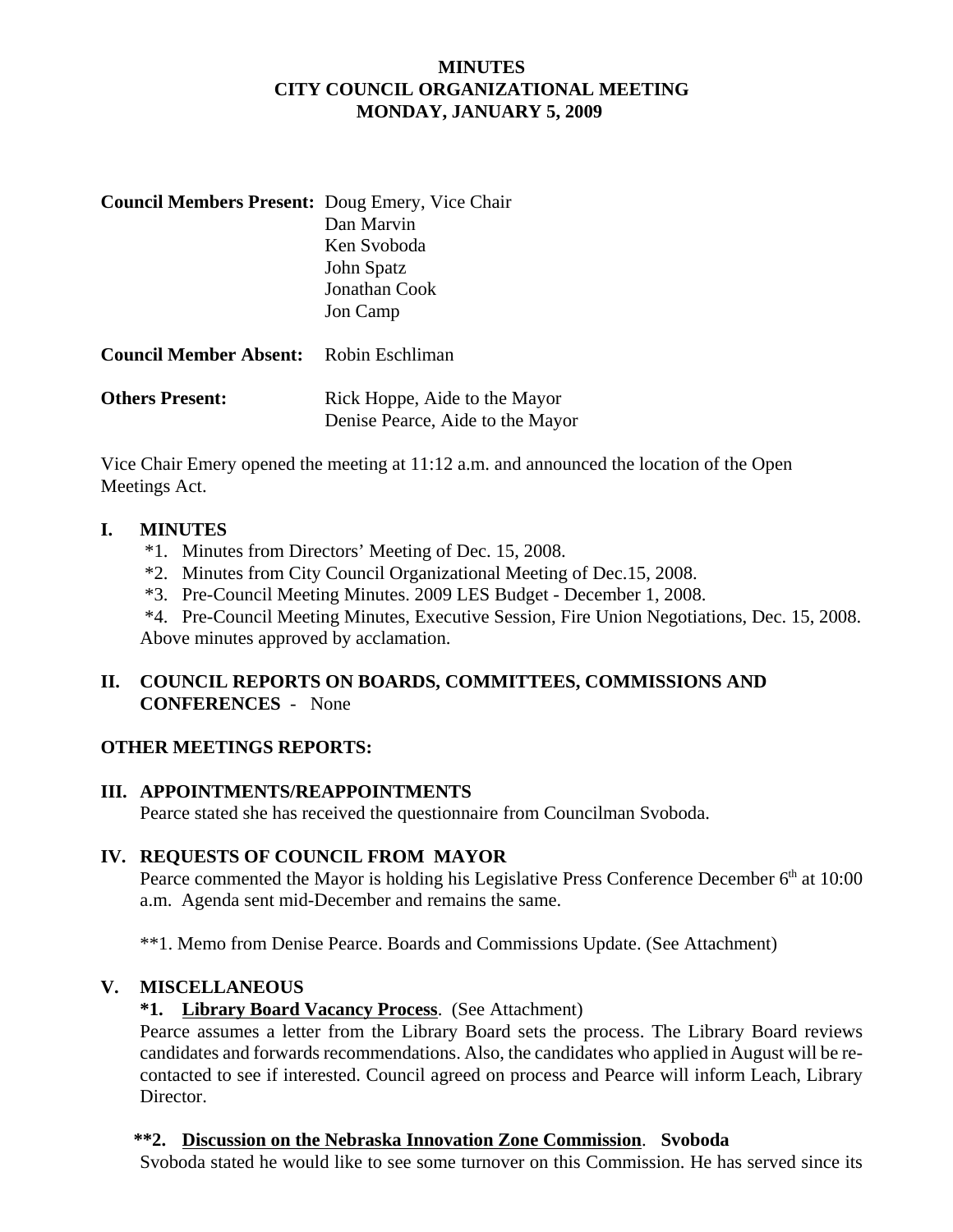# **MINUTES CITY COUNCIL ORGANIZATIONAL MEETING MONDAY, JANUARY 5, 2009**

| <b>Council Members Present:</b> Doug Emery, Vice Chair | Dan Marvin<br>Ken Svoboda<br>John Spatz<br>Jonathan Cook<br>Jon Camp |
|--------------------------------------------------------|----------------------------------------------------------------------|
| <b>Council Member Absent:</b> Robin Eschliman          |                                                                      |
| <b>Others Present:</b>                                 | Rick Hoppe, Aide to the Mayor<br>Denise Pearce, Aide to the Mayor    |

Vice Chair Emery opened the meeting at 11:12 a.m. and announced the location of the Open Meetings Act.

## **I. MINUTES**

- \*1. Minutes from Directors' Meeting of Dec. 15, 2008.
- \*2. Minutes from City Council Organizational Meeting of Dec.15, 2008.
- \*3. Pre-Council Meeting Minutes. 2009 LES Budget December 1, 2008.

 \*4. Pre-Council Meeting Minutes, Executive Session, Fire Union Negotiations, Dec. 15, 2008. Above minutes approved by acclamation.

# **II. COUNCIL REPORTS ON BOARDS, COMMITTEES, COMMISSIONS AND CONFERENCES** - None

## **OTHER MEETINGS REPORTS:**

## **III. APPOINTMENTS/REAPPOINTMENTS**

Pearce stated she has received the questionnaire from Councilman Svoboda.

## **IV. REQUESTS OF COUNCIL FROM MAYOR**

Pearce commented the Mayor is holding his Legislative Press Conference December  $6<sup>th</sup>$  at 10:00 a.m. Agenda sent mid-December and remains the same.

\*\*1. Memo from Denise Pearce. Boards and Commissions Update. (See Attachment)

## **V. MISCELLANEOUS**

## **\*1. Library Board Vacancy Process**. (See Attachment)

Pearce assumes a letter from the Library Board sets the process. The Library Board reviews candidates and forwards recommendations. Also, the candidates who applied in August will be recontacted to see if interested. Council agreed on process and Pearce will inform Leach, Library Director.

## **\*\*2. Discussion on the Nebraska Innovation Zone Commission**. **Svoboda**

Svoboda stated he would like to see some turnover on this Commission. He has served since its